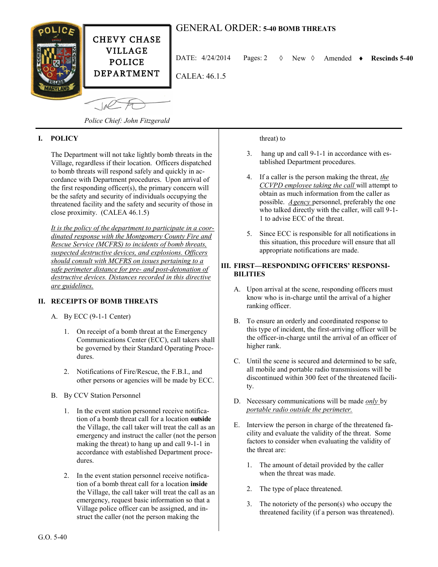

# GENERAL ORDER: **5-40 BOMB THREATS**

DATE:  $4/24/2014$  Pages: 2  $\Diamond$  New  $\Diamond$  Amended  $\bullet$  Rescinds 5-40

CALEA: 46.1.5

 $-10<sup>2</sup>$ 

*Police Chief: John Fitzgerald*

## **I. POLICY**

The Department will not take lightly bomb threats in the Village, regardless if their location. Officers dispatched to bomb threats will respond safely and quickly in accordance with Department procedures. Upon arrival of the first responding officer(s), the primary concern will be the safety and security of individuals occupying the threatened facility and the safety and security of those in close proximity. (CALEA 46.1.5)

*It is the policy of the department to participate in a coordinated response with the Montgomery County Fire and Rescue Service (MCFRS) to incidents of bomb threats, suspected destructive devices, and explosions. Officers should consult with MCFRS on issues pertaining to a safe perimeter distance for pre- and post-detonation of destructive devices. Distances recorded in this directive are guidelines.*

# **II. RECEIPTS OF BOMB THREATS**

A. By ECC (9-1-1 Center)

- 1. On receipt of a bomb threat at the Emergency Communications Center (ECC), call takers shall be governed by their Standard Operating Procedures.
- 2. Notifications of Fire/Rescue, the F.B.I., and other persons or agencies will be made by ECC.
- B. By CCV Station Personnel
	- 1. In the event station personnel receive notification of a bomb threat call for a location **outside** the Village, the call taker will treat the call as an emergency and instruct the caller (not the person making the threat) to hang up and call 9-1-1 in accordance with established Department procedures.
	- 2. In the event station personnel receive notification of a bomb threat call for a location **inside** the Village, the call taker will treat the call as an emergency, request basic information so that a Village police officer can be assigned, and instruct the caller (not the person making the

#### threat) to

- 3. hang up and call 9-1-1 in accordance with established Department procedures.
- 4. If a caller is the person making the threat, *the CCVPD employee taking the call* will attempt to obtain as much information from the caller as possible. *Agency* personnel, preferably the one who talked directly with the caller, will call 9-1- 1 to advise ECC of the threat.
- 5. Since ECC is responsible for all notifications in this situation, this procedure will ensure that all appropriate notifications are made.

### **III. FIRST—RESPONDING OFFICERS' RESPONSI-BILITIES**

- A. Upon arrival at the scene, responding officers must know who is in-charge until the arrival of a higher ranking officer.
- B. To ensure an orderly and coordinated response to this type of incident, the first-arriving officer will be the officer-in-charge until the arrival of an officer of higher rank.
- C. Until the scene is secured and determined to be safe, all mobile and portable radio transmissions will be discontinued within 300 feet of the threatened facility.
- D. Necessary communications will be made *only* by *portable radio outside the perimeter.*
- E. Interview the person in charge of the threatened facility and evaluate the validity of the threat. Some factors to consider when evaluating the validity of the threat are:
	- 1. The amount of detail provided by the caller when the threat was made.
	- 2. The type of place threatened.
	- 3. The notoriety of the person(s) who occupy the threatened facility (if a person was threatened).